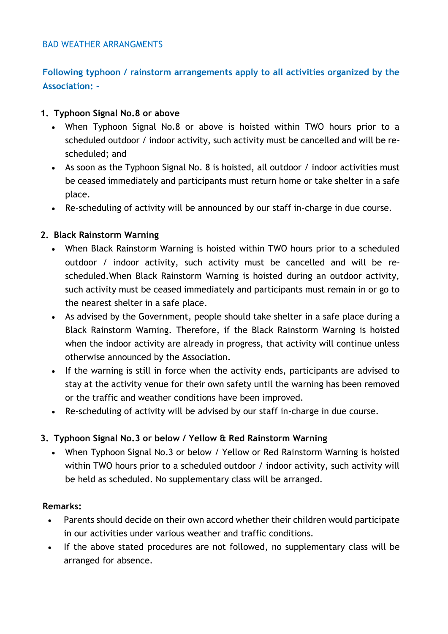### BAD WEATHER ARRANGMENTS

# **Following typhoon / rainstorm arrangements apply to all activities organized by the Association: -**

## **1. Typhoon Signal No.8 or above**

- When Typhoon Signal No.8 or above is hoisted within TWO hours prior to a scheduled outdoor / indoor activity, such activity must be cancelled and will be rescheduled; and
- As soon as the Typhoon Signal No. 8 is hoisted, all outdoor / indoor activities must be ceased immediately and participants must return home or take shelter in a safe place.
- Re-scheduling of activity will be announced by our staff in-charge in due course.

## **2. Black Rainstorm Warning**

- When Black Rainstorm Warning is hoisted within TWO hours prior to a scheduled outdoor / indoor activity, such activity must be cancelled and will be rescheduled.When Black Rainstorm Warning is hoisted during an outdoor activity, such activity must be ceased immediately and participants must remain in or go to the nearest shelter in a safe place.
- As advised by the Government, people should take shelter in a safe place during a Black Rainstorm Warning. Therefore, if the Black Rainstorm Warning is hoisted when the indoor activity are already in progress, that activity will continue unless otherwise announced by the Association.
- If the warning is still in force when the activity ends, participants are advised to stay at the activity venue for their own safety until the warning has been removed or the traffic and weather conditions have been improved.
- Re-scheduling of activity will be advised by our staff in-charge in due course.

## **3. Typhoon Signal No.3 or below / Yellow & Red Rainstorm Warning**

 When Typhoon Signal No.3 or below / Yellow or Red Rainstorm Warning is hoisted within TWO hours prior to a scheduled outdoor / indoor activity, such activity will be held as scheduled. No supplementary class will be arranged.

### **Remarks:**

- Parents should decide on their own accord whether their children would participate in our activities under various weather and traffic conditions.
- If the above stated procedures are not followed, no supplementary class will be arranged for absence.